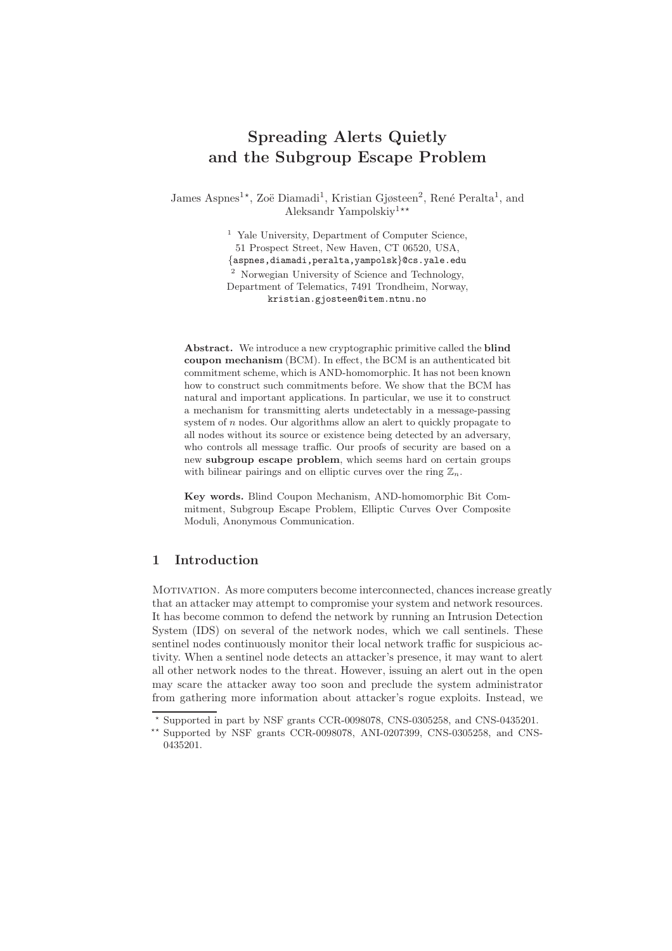# Spreading Alerts Quietly and the Subgroup Escape Problem

James Aspnes<sup>1\*</sup>, Zoë Diamadi<sup>1</sup>, Kristian Gjøsteen<sup>2</sup>, René Peralta<sup>1</sup>, and Aleksandr Yampolskiy<sup>1</sup><sup>★★</sup>

> <sup>1</sup> Yale University, Department of Computer Science, 51 Prospect Street, New Haven, CT 06520, USA, {aspnes,diamadi,peralta,yampolsk}@cs.yale.edu <sup>2</sup> Norwegian University of Science and Technology, Department of Telematics, 7491 Trondheim, Norway, kristian.gjosteen@item.ntnu.no

Abstract. We introduce a new cryptographic primitive called the blind coupon mechanism (BCM). In effect, the BCM is an authenticated bit commitment scheme, which is AND-homomorphic. It has not been known how to construct such commitments before. We show that the BCM has natural and important applications. In particular, we use it to construct a mechanism for transmitting alerts undetectably in a message-passing system of  $n$  nodes. Our algorithms allow an alert to quickly propagate to all nodes without its source or existence being detected by an adversary, who controls all message traffic. Our proofs of security are based on a new subgroup escape problem, which seems hard on certain groups with bilinear pairings and on elliptic curves over the ring  $\mathbb{Z}_n$ .

Key words. Blind Coupon Mechanism, AND-homomorphic Bit Commitment, Subgroup Escape Problem, Elliptic Curves Over Composite Moduli, Anonymous Communication.

# 1 Introduction

Motivation. As more computers become interconnected, chances increase greatly that an attacker may attempt to compromise your system and network resources. It has become common to defend the network by running an Intrusion Detection System (IDS) on several of the network nodes, which we call sentinels. These sentinel nodes continuously monitor their local network traffic for suspicious activity. When a sentinel node detects an attacker's presence, it may want to alert all other network nodes to the threat. However, issuing an alert out in the open may scare the attacker away too soon and preclude the system administrator from gathering more information about attacker's rogue exploits. Instead, we

<sup>⋆</sup> Supported in part by NSF grants CCR-0098078, CNS-0305258, and CNS-0435201.

<sup>⋆⋆</sup> Supported by NSF grants CCR-0098078, ANI-0207399, CNS-0305258, and CNS-0435201.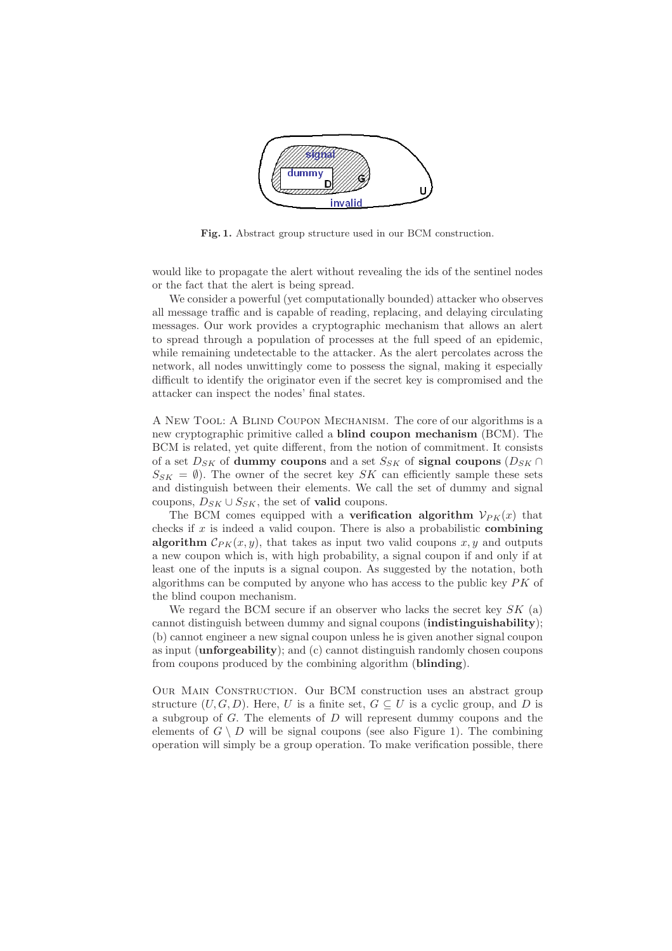

Fig. 1. Abstract group structure used in our BCM construction.

would like to propagate the alert without revealing the ids of the sentinel nodes or the fact that the alert is being spread.

We consider a powerful (yet computationally bounded) attacker who observes all message traffic and is capable of reading, replacing, and delaying circulating messages. Our work provides a cryptographic mechanism that allows an alert to spread through a population of processes at the full speed of an epidemic, while remaining undetectable to the attacker. As the alert percolates across the network, all nodes unwittingly come to possess the signal, making it especially difficult to identify the originator even if the secret key is compromised and the attacker can inspect the nodes' final states.

A New Tool: A Blind Coupon Mechanism. The core of our algorithms is a new cryptographic primitive called a blind coupon mechanism (BCM). The BCM is related, yet quite different, from the notion of commitment. It consists of a set  $D_{SK}$  of dummy coupons and a set  $S_{SK}$  of signal coupons ( $D_{SK} \cap$  $S_{SK} = \emptyset$ . The owner of the secret key SK can efficiently sample these sets and distinguish between their elements. We call the set of dummy and signal coupons,  $D_{SK} \cup S_{SK}$ , the set of **valid** coupons.

The BCM comes equipped with a **verification algorithm**  $V_{PK}(x)$  that checks if x is indeed a valid coupon. There is also a probabilistic **combining** algorithm  $\mathcal{C}_{PK}(x, y)$ , that takes as input two valid coupons x, y and outputs a new coupon which is, with high probability, a signal coupon if and only if at least one of the inputs is a signal coupon. As suggested by the notation, both algorithms can be computed by anyone who has access to the public key  $PK$  of the blind coupon mechanism.

We regard the BCM secure if an observer who lacks the secret key  $SK$  (a) cannot distinguish between dummy and signal coupons (indistinguishability); (b) cannot engineer a new signal coupon unless he is given another signal coupon as input ( $unforgeability$ ); and (c) cannot distinguish randomly chosen coupons from coupons produced by the combining algorithm (blinding).

Our Main Construction. Our BCM construction uses an abstract group structure  $(U, G, D)$ . Here, U is a finite set,  $G \subseteq U$  is a cyclic group, and D is a subgroup of  $G$ . The elements of  $D$  will represent dummy coupons and the elements of  $G \setminus D$  will be signal coupons (see also Figure 1). The combining operation will simply be a group operation. To make verification possible, there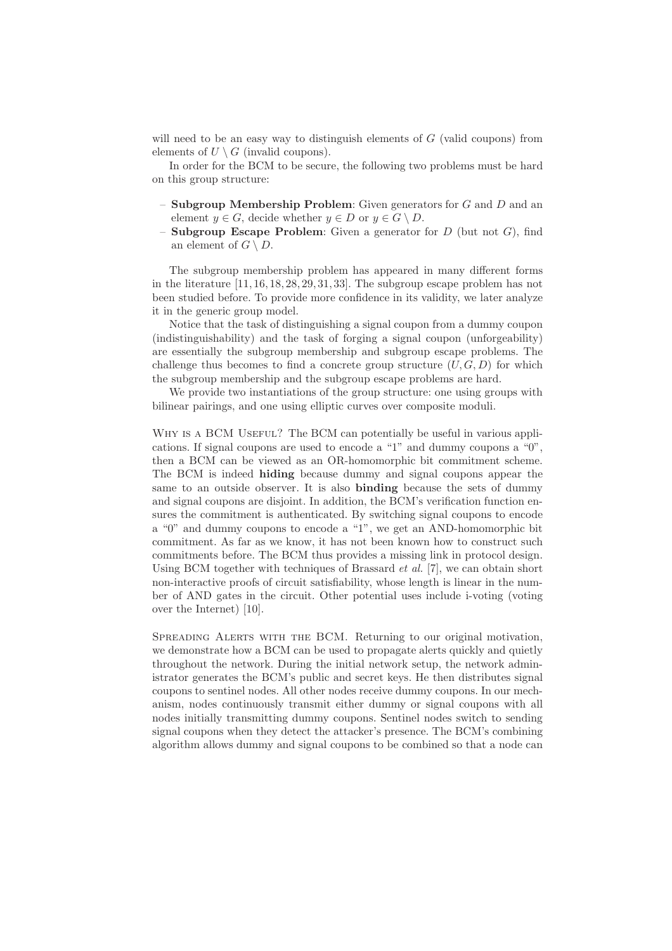will need to be an easy way to distinguish elements of  $G$  (valid coupons) from elements of  $U \setminus G$  (invalid coupons).

In order for the BCM to be secure, the following two problems must be hard on this group structure:

- **Subgroup Membership Problem:** Given generators for  $G$  and  $D$  and an element  $y \in G$ , decide whether  $y \in D$  or  $y \in G \setminus D$ .
- **Subgroup Escape Problem:** Given a generator for  $D$  (but not  $G$ ), find an element of  $G \setminus D$ .

The subgroup membership problem has appeared in many different forms in the literature [11, 16, 18, 28, 29, 31, 33]. The subgroup escape problem has not been studied before. To provide more confidence in its validity, we later analyze it in the generic group model.

Notice that the task of distinguishing a signal coupon from a dummy coupon (indistinguishability) and the task of forging a signal coupon (unforgeability) are essentially the subgroup membership and subgroup escape problems. The challenge thus becomes to find a concrete group structure  $(U, G, D)$  for which the subgroup membership and the subgroup escape problems are hard.

We provide two instantiations of the group structure: one using groups with bilinear pairings, and one using elliptic curves over composite moduli.

WHY IS A BCM USEFUL? The BCM can potentially be useful in various applications. If signal coupons are used to encode a "1" and dummy coupons a "0", then a BCM can be viewed as an OR-homomorphic bit commitment scheme. The BCM is indeed hiding because dummy and signal coupons appear the same to an outside observer. It is also binding because the sets of dummy and signal coupons are disjoint. In addition, the BCM's verification function ensures the commitment is authenticated. By switching signal coupons to encode a "0" and dummy coupons to encode a "1", we get an AND-homomorphic bit commitment. As far as we know, it has not been known how to construct such commitments before. The BCM thus provides a missing link in protocol design. Using BCM together with techniques of Brassard et al. [7], we can obtain short non-interactive proofs of circuit satisfiability, whose length is linear in the number of AND gates in the circuit. Other potential uses include i-voting (voting over the Internet) [10].

SPREADING ALERTS WITH THE BCM. Returning to our original motivation, we demonstrate how a BCM can be used to propagate alerts quickly and quietly throughout the network. During the initial network setup, the network administrator generates the BCM's public and secret keys. He then distributes signal coupons to sentinel nodes. All other nodes receive dummy coupons. In our mechanism, nodes continuously transmit either dummy or signal coupons with all nodes initially transmitting dummy coupons. Sentinel nodes switch to sending signal coupons when they detect the attacker's presence. The BCM's combining algorithm allows dummy and signal coupons to be combined so that a node can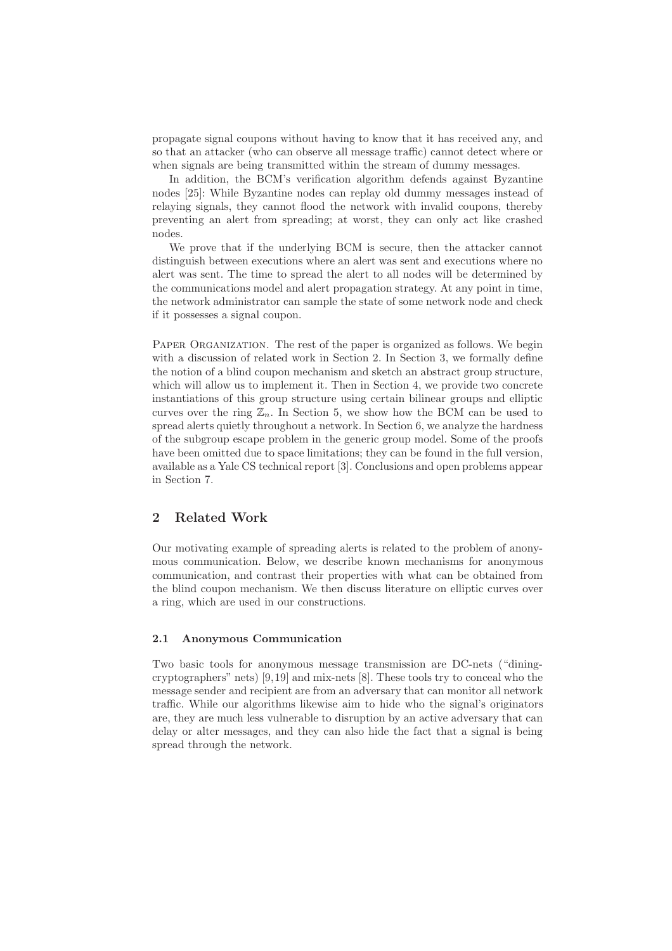propagate signal coupons without having to know that it has received any, and so that an attacker (who can observe all message traffic) cannot detect where or when signals are being transmitted within the stream of dummy messages.

In addition, the BCM's verification algorithm defends against Byzantine nodes [25]: While Byzantine nodes can replay old dummy messages instead of relaying signals, they cannot flood the network with invalid coupons, thereby preventing an alert from spreading; at worst, they can only act like crashed nodes.

We prove that if the underlying BCM is secure, then the attacker cannot distinguish between executions where an alert was sent and executions where no alert was sent. The time to spread the alert to all nodes will be determined by the communications model and alert propagation strategy. At any point in time, the network administrator can sample the state of some network node and check if it possesses a signal coupon.

PAPER ORGANIZATION. The rest of the paper is organized as follows. We begin with a discussion of related work in Section 2. In Section 3, we formally define the notion of a blind coupon mechanism and sketch an abstract group structure, which will allow us to implement it. Then in Section 4, we provide two concrete instantiations of this group structure using certain bilinear groups and elliptic curves over the ring  $\mathbb{Z}_n$ . In Section 5, we show how the BCM can be used to spread alerts quietly throughout a network. In Section 6, we analyze the hardness of the subgroup escape problem in the generic group model. Some of the proofs have been omitted due to space limitations; they can be found in the full version, available as a Yale CS technical report [3]. Conclusions and open problems appear in Section 7.

# 2 Related Work

Our motivating example of spreading alerts is related to the problem of anonymous communication. Below, we describe known mechanisms for anonymous communication, and contrast their properties with what can be obtained from the blind coupon mechanism. We then discuss literature on elliptic curves over a ring, which are used in our constructions.

### 2.1 Anonymous Communication

Two basic tools for anonymous message transmission are DC-nets ("diningcryptographers" nets) [9,19] and mix-nets [8]. These tools try to conceal who the message sender and recipient are from an adversary that can monitor all network traffic. While our algorithms likewise aim to hide who the signal's originators are, they are much less vulnerable to disruption by an active adversary that can delay or alter messages, and they can also hide the fact that a signal is being spread through the network.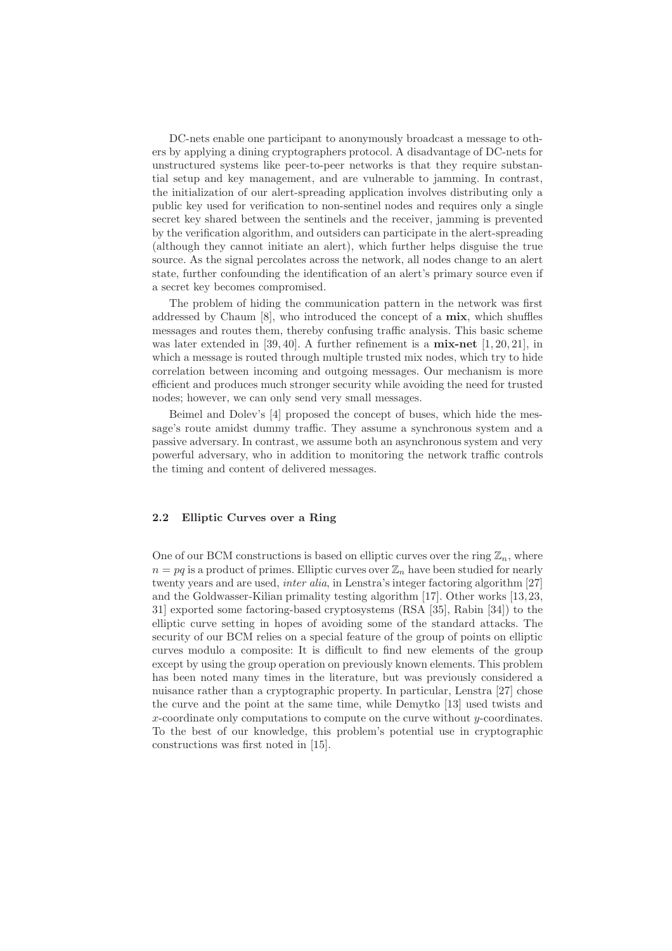DC-nets enable one participant to anonymously broadcast a message to others by applying a dining cryptographers protocol. A disadvantage of DC-nets for unstructured systems like peer-to-peer networks is that they require substantial setup and key management, and are vulnerable to jamming. In contrast, the initialization of our alert-spreading application involves distributing only a public key used for verification to non-sentinel nodes and requires only a single secret key shared between the sentinels and the receiver, jamming is prevented by the verification algorithm, and outsiders can participate in the alert-spreading (although they cannot initiate an alert), which further helps disguise the true source. As the signal percolates across the network, all nodes change to an alert state, further confounding the identification of an alert's primary source even if a secret key becomes compromised.

The problem of hiding the communication pattern in the network was first addressed by Chaum  $[8]$ , who introduced the concept of a  $\text{mix}$ , which shuffles messages and routes them, thereby confusing traffic analysis. This basic scheme was later extended in  $[39, 40]$ . A further refinement is a **mix-net**  $[1, 20, 21]$ , in which a message is routed through multiple trusted mix nodes, which try to hide correlation between incoming and outgoing messages. Our mechanism is more efficient and produces much stronger security while avoiding the need for trusted nodes; however, we can only send very small messages.

Beimel and Dolev's [4] proposed the concept of buses, which hide the message's route amidst dummy traffic. They assume a synchronous system and a passive adversary. In contrast, we assume both an asynchronous system and very powerful adversary, who in addition to monitoring the network traffic controls the timing and content of delivered messages.

## 2.2 Elliptic Curves over a Ring

One of our BCM constructions is based on elliptic curves over the ring  $\mathbb{Z}_n$ , where  $n = pq$  is a product of primes. Elliptic curves over  $\mathbb{Z}_n$  have been studied for nearly twenty years and are used, *inter alia*, in Lenstra's integer factoring algorithm [27] and the Goldwasser-Kilian primality testing algorithm [17]. Other works [13, 23, 31] exported some factoring-based cryptosystems (RSA [35], Rabin [34]) to the elliptic curve setting in hopes of avoiding some of the standard attacks. The security of our BCM relies on a special feature of the group of points on elliptic curves modulo a composite: It is difficult to find new elements of the group except by using the group operation on previously known elements. This problem has been noted many times in the literature, but was previously considered a nuisance rather than a cryptographic property. In particular, Lenstra [27] chose the curve and the point at the same time, while Demytko [13] used twists and x-coordinate only computations to compute on the curve without  $y$ -coordinates. To the best of our knowledge, this problem's potential use in cryptographic constructions was first noted in [15].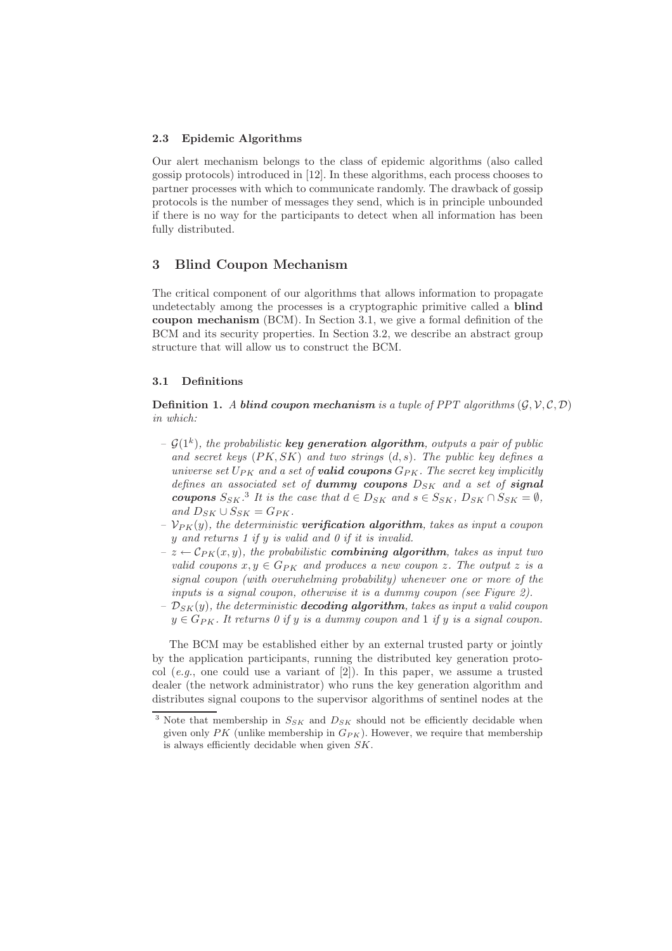#### 2.3 Epidemic Algorithms

Our alert mechanism belongs to the class of epidemic algorithms (also called gossip protocols) introduced in [12]. In these algorithms, each process chooses to partner processes with which to communicate randomly. The drawback of gossip protocols is the number of messages they send, which is in principle unbounded if there is no way for the participants to detect when all information has been fully distributed.

# 3 Blind Coupon Mechanism

The critical component of our algorithms that allows information to propagate undetectably among the processes is a cryptographic primitive called a blind coupon mechanism (BCM). In Section 3.1, we give a formal definition of the BCM and its security properties. In Section 3.2, we describe an abstract group structure that will allow us to construct the BCM.

#### 3.1 Definitions

**Definition 1.** A blind coupon mechanism is a tuple of PPT algorithms  $(G, V, C, D)$ in which:

- $\mathcal{G}(1^k)$ , the probabilistic **key generation algorithm**, outputs a pair of public and secret keys  $(PK, SK)$  and two strings  $(d, s)$ . The public key defines a universe set  $U_{PK}$  and a set of **valid coupons**  $G_{PK}$ . The secret key implicitly defines an associated set of dummy coupons  $D_{SK}$  and a set of signal coupons  $S_{SK}$ <sup>3</sup> It is the case that  $d \in D_{SK}$  and  $s \in S_{SK}$ ,  $D_{SK} \cap S_{SK} = \emptyset$ , and  $D_{SK} \cup S_{SK} = G_{PK}$ .
- $-V_{PK}(y)$ , the deterministic verification algorithm, takes as input a coupon y and returns 1 if y is valid and 0 if it is invalid.
- $-z \leftarrow C_{PK}(x, y)$ , the probabilistic **combining algorithm**, takes as input two valid coupons  $x, y \in G_{PK}$  and produces a new coupon z. The output z is a signal coupon (with overwhelming probability) whenever one or more of the inputs is a signal coupon, otherwise it is a dummy coupon (see Figure 2).
- $\mathcal{D}_{SK}(y)$ , the deterministic **decoding algorithm**, takes as input a valid coupon  $y \in G_{PK}$ . It returns 0 if y is a dummy coupon and 1 if y is a signal coupon.

The BCM may be established either by an external trusted party or jointly by the application participants, running the distributed key generation protocol  $(e.g.,$  one could use a variant of  $[2]$ ). In this paper, we assume a trusted dealer (the network administrator) who runs the key generation algorithm and distributes signal coupons to the supervisor algorithms of sentinel nodes at the

<sup>&</sup>lt;sup>3</sup> Note that membership in  $S_{SK}$  and  $D_{SK}$  should not be efficiently decidable when given only  $PK$  (unlike membership in  $G_{PK}$ ). However, we require that membership is always efficiently decidable when given SK.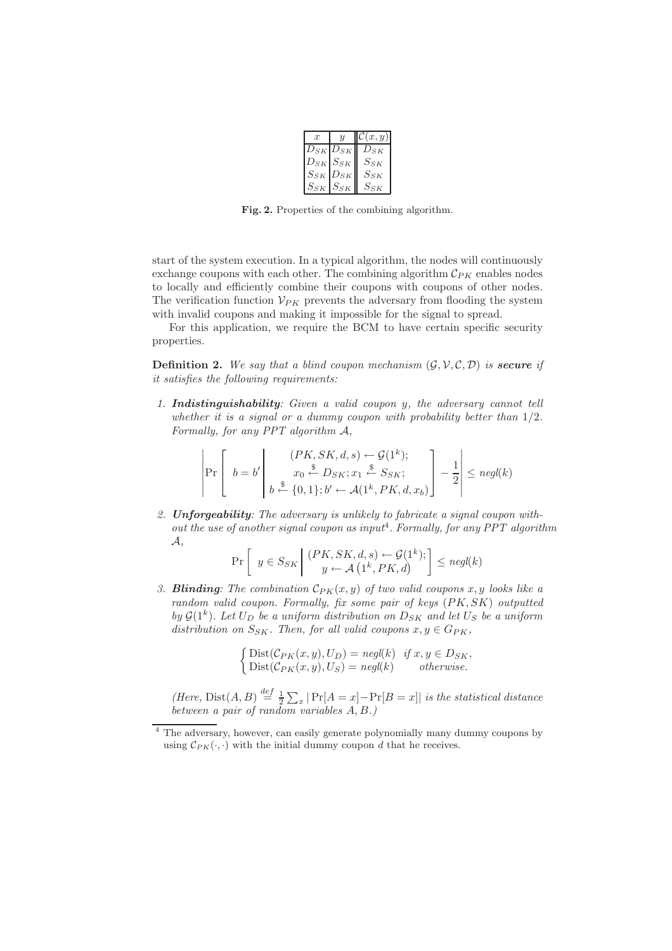| $\boldsymbol{x}$ | $\mathcal{U}$     | $\mathcal{C}(x,y)$ |
|------------------|-------------------|--------------------|
|                  | $D_{SK}$ $D_{SK}$ | $D_{SK}$           |
|                  | $D_{SK}$ $S_{SK}$ | $S_{SK}$           |
| $S_{SK}$         | $D_{SK}$          | $S_{SK}$           |
| $S_{SK}$         | $S_{SK}$          | $S_{SK}$           |

Fig. 2. Properties of the combining algorithm.

start of the system execution. In a typical algorithm, the nodes will continuously exchange coupons with each other. The combining algorithm  $\mathcal{C}_{PK}$  enables nodes to locally and efficiently combine their coupons with coupons of other nodes. The verification function  $V_{PK}$  prevents the adversary from flooding the system with invalid coupons and making it impossible for the signal to spread.

For this application, we require the BCM to have certain specific security properties.

**Definition 2.** We say that a blind coupon mechanism  $(\mathcal{G}, \mathcal{V}, \mathcal{C}, \mathcal{D})$  is **secure** if it satisfies the following requirements:

1. Indistinguishability: Given a valid coupon y, the adversary cannot tell whether it is a signal or a dummy coupon with probability better than  $1/2$ . Formally, for any PPT algorithm A,

$$
\left| \Pr \left[ b = b' \middle| \begin{array}{c} (PK, SK, d, s) \leftarrow \mathcal{G}(1^k); \\ x_0 \stackrel{\$}{\leftarrow} D_{SK}; x_1 \stackrel{\$}{\leftarrow} S_{SK}; \\ b \stackrel{\$}{\leftarrow} \{0, 1\}; b' \leftarrow \mathcal{A}(1^k, PK, d, x_b) \end{array} \right] - \frac{1}{2} \right| \leq negl(k)
$$

2. Unforgeability: The adversary is unlikely to fabricate a signal coupon without the use of another signal coupon as input<sup>4</sup>. Formally, for any  $PPT$  algorithm  $\mathcal{A},$ 

$$
\Pr\left[\begin{array}{c}y \in S_{SK} \end{array} \Big| \begin{array}{c} (PK, SK, d, s) \leftarrow \mathcal{G}(1^k); \\ y \leftarrow \mathcal{A}(1^k, PK, d)\end{array}\right] \leq negl(k)
$$

3. **Blinding**: The combination  $\mathcal{C}_{PK}(x, y)$  of two valid coupons x, y looks like a random valid coupon. Formally, fix some pair of keys (PK, SK) outputted by  $\mathcal{G}(1^k)$ . Let  $U_D$  be a uniform distribution on  $D_{SK}$  and let  $U_S$  be a uniform distribution on  $S_{SK}$ . Then, for all valid coupons  $x, y \in G_{PK}$ ,

$$
\begin{cases}\n\text{Dist}(\mathcal{C}_{PK}(x,y), U_D) = negl(k) & \text{if } x, y \in D_{SK}, \\
\text{Dist}(\mathcal{C}_{PK}(x,y), U_S) = negl(k) & \text{otherwise.} \n\end{cases}
$$

(Here, Dist $(A, B) \stackrel{def}{=} \frac{1}{2} \sum_x |\Pr[A = x] - \Pr[B = x]|$  is the statistical distance between a pair of random variables A, B.)

The adversary, however, can easily generate polynomially many dummy coupons by using  $C_{PK}(\cdot, \cdot)$  with the initial dummy coupon d that he receives.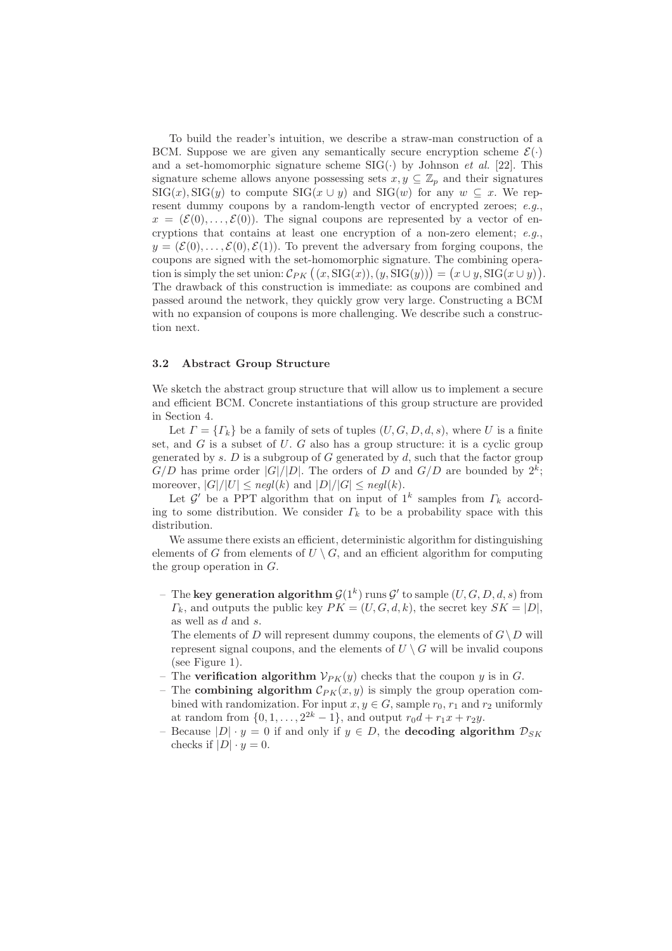To build the reader's intuition, we describe a straw-man construction of a BCM. Suppose we are given any semantically secure encryption scheme  $\mathcal{E}(\cdot)$ and a set-homomorphic signature scheme  $SIG(\cdot)$  by Johnson *et al.* [22]. This signature scheme allows anyone possessing sets  $x, y \subseteq \mathbb{Z}_p$  and their signatures  $SIG(x), SIG(y)$  to compute  $SIG(x \cup y)$  and  $SIG(w)$  for any  $w \subseteq x$ . We represent dummy coupons by a random-length vector of encrypted zeroes; e.g.,  $x = (\mathcal{E}(0), \ldots, \mathcal{E}(0))$ . The signal coupons are represented by a vector of encryptions that contains at least one encryption of a non-zero element;  $e.q.,$  $y = (\mathcal{E}(0), \ldots, \mathcal{E}(0), \mathcal{E}(1))$ . To prevent the adversary from forging coupons, the coupons are signed with the set-homomorphic signature. The combining operation is simply the set union:  $\mathcal{C}_{PK}((x, SIG(x)), (y, SIG(y))) = (x \cup y, SIG(x \cup y)).$ The drawback of this construction is immediate: as coupons are combined and passed around the network, they quickly grow very large. Constructing a BCM with no expansion of coupons is more challenging. We describe such a construction next.

#### 3.2 Abstract Group Structure

We sketch the abstract group structure that will allow us to implement a secure and efficient BCM. Concrete instantiations of this group structure are provided in Section 4.

Let  $\Gamma = \{\Gamma_k\}$  be a family of sets of tuples  $(U, G, D, d, s)$ , where U is a finite set, and  $G$  is a subset of  $U$ .  $G$  also has a group structure: it is a cyclic group generated by  $s. D$  is a subgroup of  $G$  generated by  $d$ , such that the factor group  $G/D$  has prime order  $|G|/|D|$ . The orders of D and  $G/D$  are bounded by  $2^k$ ; moreover,  $|G|/|U| \leq negl(k)$  and  $|D|/|G| \leq negl(k)$ .

Let  $\mathcal{G}'$  be a PPT algorithm that on input of  $1^k$  samples from  $\Gamma_k$  according to some distribution. We consider  $\Gamma_k$  to be a probability space with this distribution.

We assume there exists an efficient, deterministic algorithm for distinguishing elements of G from elements of  $U \setminus G$ , and an efficient algorithm for computing the group operation in  $G$ .

- The key generation algorithm  $\mathcal{G}(1^k)$  runs  $\mathcal{G}'$  to sample  $(U, G, D, d, s)$  from  $\Gamma_k$ , and outputs the public key  $PK = (U, G, d, k)$ , the secret key  $SK = |D|$ , as well as d and s.

The elements of D will represent dummy coupons, the elements of  $G\setminus D$  will represent signal coupons, and the elements of  $U \setminus G$  will be invalid coupons (see Figure 1).

- The **verification algorithm**  $V_{PK}(y)$  checks that the coupon y is in G.
- The **combining algorithm**  $\mathcal{C}_{PK}(x, y)$  is simply the group operation combined with randomization. For input  $x, y \in G$ , sample  $r_0, r_1$  and  $r_2$  uniformly at random from  $\{0, 1, ..., 2^{2k} - 1\}$ , and output  $r_0d + r_1x + r_2y$ .
- Because  $|D| \cdot y = 0$  if and only if  $y \in D$ , the **decoding algorithm**  $\mathcal{D}_{SK}$ checks if  $|D| \cdot y = 0$ .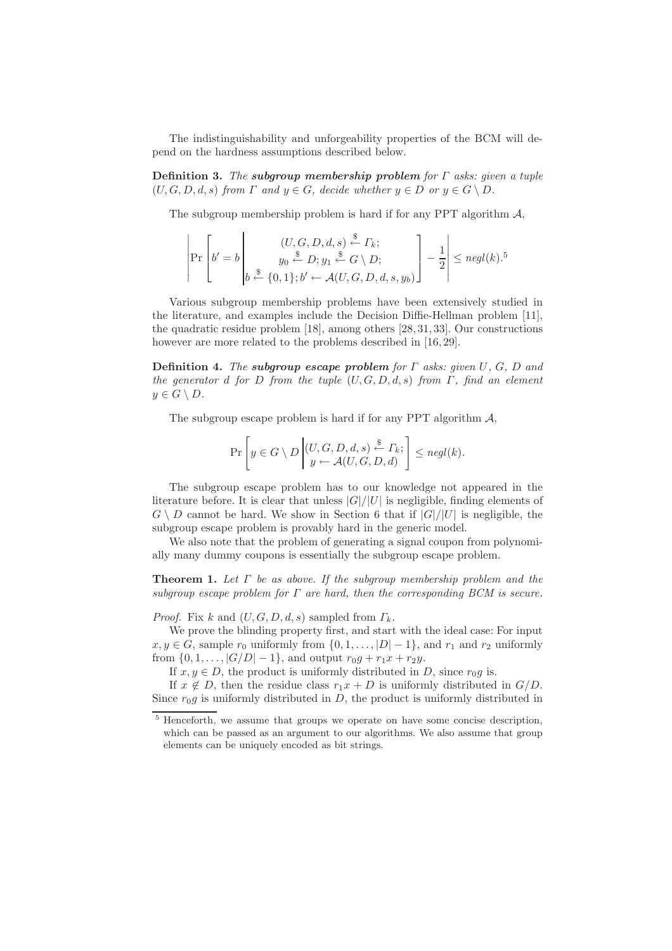The indistinguishability and unforgeability properties of the BCM will depend on the hardness assumptions described below.

**Definition 3.** The **subgroup membership problem** for  $\Gamma$  asks: given a tuple  $(U, G, D, d, s)$  from  $\Gamma$  and  $y \in G$ , decide whether  $y \in D$  or  $y \in G \setminus D$ .

The subgroup membership problem is hard if for any PPT algorithm  $A$ ,

$$
\left| \Pr \left[ b' = b \middle| \begin{array}{c} (U, G, D, d, s) \stackrel{\$}{\leftarrow} \Gamma_k; \\ y_0 \stackrel{\$}{\leftarrow} D; y_1 \stackrel{\$}{\leftarrow} G \setminus D; \\ b \stackrel{\$}{\leftarrow} \{0, 1\}; b' \leftarrow \mathcal{A}(U, G, D, d, s, y_b) \end{array} \right] - \frac{1}{2} \right| \leq negl(k).^{5}
$$

Various subgroup membership problems have been extensively studied in the literature, and examples include the Decision Diffie-Hellman problem [11], the quadratic residue problem [18], among others [28, 31, 33]. Our constructions however are more related to the problems described in [16,29].

**Definition 4.** The **subgroup escape problem** for  $\Gamma$  asks: given U, G, D and the generator d for D from the tuple  $(U, G, D, d, s)$  from  $\Gamma$ , find an element  $y \in G \setminus D$ .

The subgroup escape problem is hard if for any PPT algorithm  $\mathcal{A}$ ,

$$
\Pr\left[y \in G \setminus D \middle| \left(U, G, D, d, s\right) \stackrel{\$}{\leftarrow} \Gamma_k; \right] \leq negl(k).
$$

The subgroup escape problem has to our knowledge not appeared in the literature before. It is clear that unless  $|G|/|U|$  is negligible, finding elements of  $G \setminus D$  cannot be hard. We show in Section 6 that if  $|G|/|U|$  is negligible, the subgroup escape problem is provably hard in the generic model.

We also note that the problem of generating a signal coupon from polynomially many dummy coupons is essentially the subgroup escape problem.

**Theorem 1.** Let  $\Gamma$  be as above. If the subgroup membership problem and the subgroup escape problem for  $\Gamma$  are hard, then the corresponding BCM is secure.

*Proof.* Fix k and  $(U, G, D, d, s)$  sampled from  $\Gamma_k$ .

We prove the blinding property first, and start with the ideal case: For input  $x, y \in G$ , sample  $r_0$  uniformly from  $\{0, 1, \ldots, |D|-1\}$ , and  $r_1$  and  $r_2$  uniformly from  $\{0, 1, \ldots, |G/D| - 1\}$ , and output  $r_0g + r_1x + r_2y$ .

If  $x, y \in D$ , the product is uniformly distributed in D, since  $r_0q$  is.

If  $x \notin D$ , then the residue class  $r_1x + D$  is uniformly distributed in  $G/D$ . Since  $r_0q$  is uniformly distributed in D, the product is uniformly distributed in

<sup>5</sup> Henceforth, we assume that groups we operate on have some concise description, which can be passed as an argument to our algorithms. We also assume that group elements can be uniquely encoded as bit strings.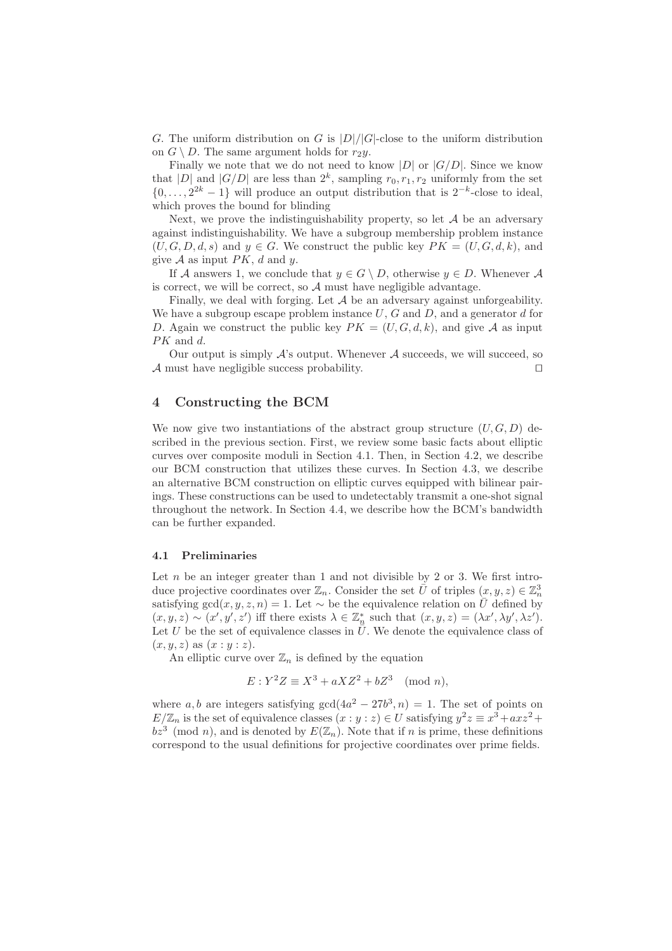G. The uniform distribution on G is  $|D|/|G|$ -close to the uniform distribution on  $G \setminus D$ . The same argument holds for  $r_2y$ .

Finally we note that we do not need to know |D| or  $|G/D|$ . Since we know that |D| and  $|G/D|$  are less than  $2^k$ , sampling  $r_0, r_1, r_2$  uniformly from the set  $\{0, \ldots, 2^{2k} - 1\}$  will produce an output distribution that is  $2^{-k}$ -close to ideal, which proves the bound for blinding

Next, we prove the indistinguishability property, so let  $A$  be an adversary against indistinguishability. We have a subgroup membership problem instance  $(U, G, D, d, s)$  and  $y \in G$ . We construct the public key  $PK = (U, G, d, k)$ , and give  $A$  as input  $PK$ , d and y.

If A answers 1, we conclude that  $y \in G \setminus D$ , otherwise  $y \in D$ . Whenever A is correct, we will be correct, so  $A$  must have negligible advantage.

Finally, we deal with forging. Let  $A$  be an adversary against unforgeability. We have a subgroup escape problem instance  $U$ ,  $G$  and  $D$ , and a generator  $d$  for D. Again we construct the public key  $PK = (U, G, d, k)$ , and give A as input PK and d.

Our output is simply  $\mathcal{A}$ 's output. Whenever  $\mathcal{A}$  succeeds, we will succeed, so A must have negligible success probability.  $□$ 

## 4 Constructing the BCM

We now give two instantiations of the abstract group structure  $(U, G, D)$  described in the previous section. First, we review some basic facts about elliptic curves over composite moduli in Section 4.1. Then, in Section 4.2, we describe our BCM construction that utilizes these curves. In Section 4.3, we describe an alternative BCM construction on elliptic curves equipped with bilinear pairings. These constructions can be used to undetectably transmit a one-shot signal throughout the network. In Section 4.4, we describe how the BCM's bandwidth can be further expanded.

#### 4.1 Preliminaries

Let  $n$  be an integer greater than 1 and not divisible by 2 or 3. We first introduce projective coordinates over  $\mathbb{Z}_n$ . Consider the set  $\overline{U}$  of triples  $(x, y, z) \in \mathbb{Z}_n^3$ satisfying gcd(x, y, z, n) = 1. Let  $\sim$  be the equivalence relation on  $\bar{U}$  defined by  $(x, y, z) \sim (x', y', z')$  iff there exists  $\lambda \in \mathbb{Z}_n^*$  such that  $(x, y, z) = (\lambda x', \lambda y', \lambda z')$ . Let U be the set of equivalence classes in  $\bar{U}$ . We denote the equivalence class of  $(x, y, z)$  as  $(x : y : z)$ .

An elliptic curve over  $\mathbb{Z}_n$  is defined by the equation

$$
E: Y^2 Z \equiv X^3 + aXZ^2 + bZ^3 \pmod{n},
$$

where a, b are integers satisfying  $gcd(4a^2 - 27b^3, n) = 1$ . The set of points on  $E/\mathbb{Z}_n$  is the set of equivalence classes  $(x:y:z) \in U$  satisfying  $y^2z \equiv x^3 + axz^2 + b$  $bz^3$  (mod n), and is denoted by  $E(\mathbb{Z}_n)$ . Note that if n is prime, these definitions correspond to the usual definitions for projective coordinates over prime fields.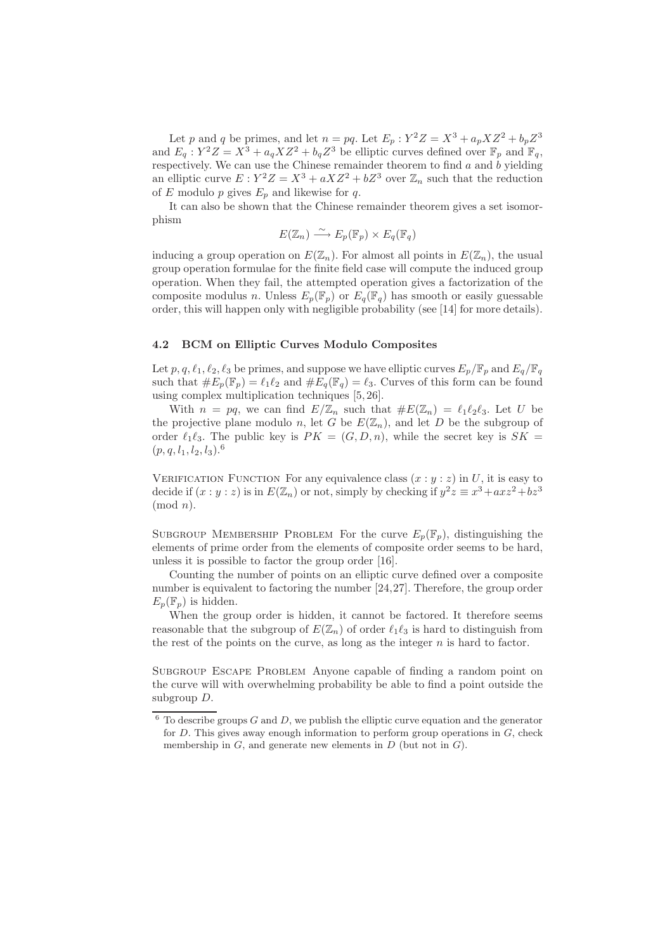Let p and q be primes, and let  $n = pq$ . Let  $E_p : Y^2Z = X^3 + a_pXZ^2 + b_pZ^3$ and  $E_q: Y^2 Z = X^3 + a_q X Z^2 + b_q Z^3$  be elliptic curves defined over  $\mathbb{F}_p$  and  $\mathbb{F}_q$ , respectively. We can use the Chinese remainder theorem to find  $a$  and  $b$  yielding an elliptic curve  $E: Y^2Z = X^3 + aXZ^2 + bZ^3$  over  $\mathbb{Z}_n$  such that the reduction of E modulo p gives  $E_p$  and likewise for q.

It can also be shown that the Chinese remainder theorem gives a set isomorphism

$$
E(\mathbb{Z}_n) \xrightarrow{\sim} E_p(\mathbb{F}_p) \times E_q(\mathbb{F}_q)
$$

inducing a group operation on  $E(\mathbb{Z}_n)$ . For almost all points in  $E(\mathbb{Z}_n)$ , the usual group operation formulae for the finite field case will compute the induced group operation. When they fail, the attempted operation gives a factorization of the composite modulus n. Unless  $E_p(\mathbb{F}_p)$  or  $E_q(\mathbb{F}_q)$  has smooth or easily guessable order, this will happen only with negligible probability (see [14] for more details).

#### 4.2 BCM on Elliptic Curves Modulo Composites

Let  $p, q, \ell_1, \ell_2, \ell_3$  be primes, and suppose we have elliptic curves  $E_p/\mathbb{F}_p$  and  $E_q/\mathbb{F}_q$ such that  $\#E_p(\mathbb{F}_p) = \ell_1 \ell_2$  and  $\#E_q(\mathbb{F}_q) = \ell_3$ . Curves of this form can be found using complex multiplication techniques [5, 26].

With  $n = pq$ , we can find  $E/\mathbb{Z}_n$  such that  $\#E(\mathbb{Z}_n) = \ell_1\ell_2\ell_3$ . Let U be the projective plane modulo n, let G be  $E(\mathbb{Z}_n)$ , and let D be the subgroup of order  $\ell_1 \ell_3$ . The public key is  $PK = (G, D, n)$ , while the secret key is  $SK =$  $(p, q, l_1, l_2, l_3).$ <sup>6</sup>

VERIFICATION FUNCTION For any equivalence class  $(x : y : z)$  in U, it is easy to decide if  $(x : y : z)$  is in  $E(\mathbb{Z}_n)$  or not, simply by checking if  $y^2z \equiv x^3 + axz^2 + bz^3$  $(mod n).$ 

SUBGROUP MEMBERSHIP PROBLEM For the curve  $E_p(\mathbb{F}_p)$ , distinguishing the elements of prime order from the elements of composite order seems to be hard, unless it is possible to factor the group order [16].

Counting the number of points on an elliptic curve defined over a composite number is equivalent to factoring the number [24,27]. Therefore, the group order  $E_p(\mathbb{F}_p)$  is hidden.

When the group order is hidden, it cannot be factored. It therefore seems reasonable that the subgroup of  $E(\mathbb{Z}_n)$  of order  $\ell_1\ell_3$  is hard to distinguish from the rest of the points on the curve, as long as the integer  $n$  is hard to factor.

SUBGROUP ESCAPE PROBLEM Anyone capable of finding a random point on the curve will with overwhelming probability be able to find a point outside the subgroup D.

 $6$  To describe groups G and D, we publish the elliptic curve equation and the generator for  $D$ . This gives away enough information to perform group operations in  $G$ , check membership in  $G$ , and generate new elements in  $D$  (but not in  $G$ ).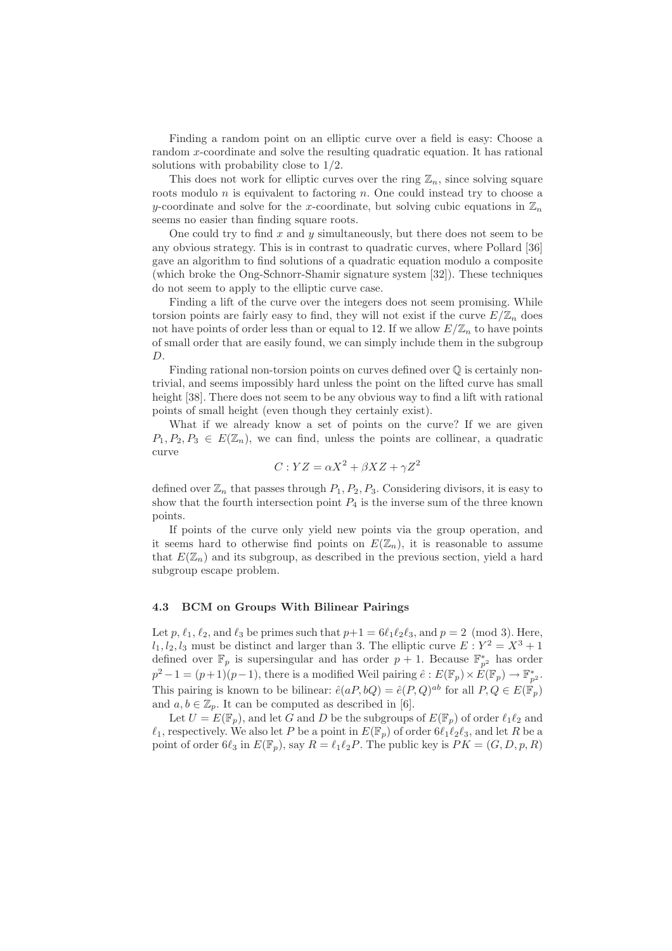Finding a random point on an elliptic curve over a field is easy: Choose a random x-coordinate and solve the resulting quadratic equation. It has rational solutions with probability close to  $1/2$ .

This does not work for elliptic curves over the ring  $\mathbb{Z}_n$ , since solving square roots modulo n is equivalent to factoring n. One could instead try to choose a y-coordinate and solve for the x-coordinate, but solving cubic equations in  $\mathbb{Z}_n$ seems no easier than finding square roots.

One could try to find x and y simultaneously, but there does not seem to be any obvious strategy. This is in contrast to quadratic curves, where Pollard [36] gave an algorithm to find solutions of a quadratic equation modulo a composite (which broke the Ong-Schnorr-Shamir signature system [32]). These techniques do not seem to apply to the elliptic curve case.

Finding a lift of the curve over the integers does not seem promising. While torsion points are fairly easy to find, they will not exist if the curve  $E/\mathbb{Z}_n$  does not have points of order less than or equal to 12. If we allow  $E/\mathbb{Z}_n$  to have points of small order that are easily found, we can simply include them in the subgroup D.

Finding rational non-torsion points on curves defined over  $\mathbb O$  is certainly nontrivial, and seems impossibly hard unless the point on the lifted curve has small height [38]. There does not seem to be any obvious way to find a lift with rational points of small height (even though they certainly exist).

What if we already know a set of points on the curve? If we are given  $P_1, P_2, P_3 \in E(\mathbb{Z}_n)$ , we can find, unless the points are collinear, a quadratic curve

$$
C:YZ = \alpha X^2 + \beta XZ + \gamma Z^2
$$

defined over  $\mathbb{Z}_n$  that passes through  $P_1, P_2, P_3$ . Considering divisors, it is easy to show that the fourth intersection point  $P_4$  is the inverse sum of the three known points.

If points of the curve only yield new points via the group operation, and it seems hard to otherwise find points on  $E(\mathbb{Z}_n)$ , it is reasonable to assume that  $E(\mathbb{Z}_n)$  and its subgroup, as described in the previous section, yield a hard subgroup escape problem.

#### 4.3 BCM on Groups With Bilinear Pairings

Let p,  $\ell_1, \ell_2$ , and  $\ell_3$  be primes such that  $p+1 = 6\ell_1\ell_2\ell_3$ , and  $p = 2 \pmod{3}$ . Here,  $l_1, l_2, l_3$  must be distinct and larger than 3. The elliptic curve  $E: Y^2 = X^3 + 1$ defined over  $\mathbb{F}_p$  is supersingular and has order  $p + 1$ . Because  $\mathbb{F}_{p^2}^*$  has order  $p^2 - 1 = (p+1)(p-1)$ , there is a modified Weil pairing  $\hat{e}: E(\mathbb{F}_p) \times \hat{E}(\mathbb{F}_p) \to \mathbb{F}_{p^2}^*$ . This pairing is known to be bilinear:  $\hat{e}(aP, bQ) = \hat{e}(P, Q)^{ab}$  for all  $P, Q \in E(\mathbb{F}_p)$ and  $a, b \in \mathbb{Z}_p$ . It can be computed as described in [6].

Let  $U = E(\mathbb{F}_p)$ , and let G and D be the subgroups of  $E(\mathbb{F}_p)$  of order  $\ell_1 \ell_2$  and  $\ell_1$ , respectively. We also let P be a point in  $E(\mathbb{F}_p)$  of order  $6\ell_1\ell_2\ell_3$ , and let R be a point of order  $6\ell_3$  in  $E(\mathbb{F}_p)$ , say  $R = \ell_1 \ell_2 P$ . The public key is  $PK = (G, D, p, R)$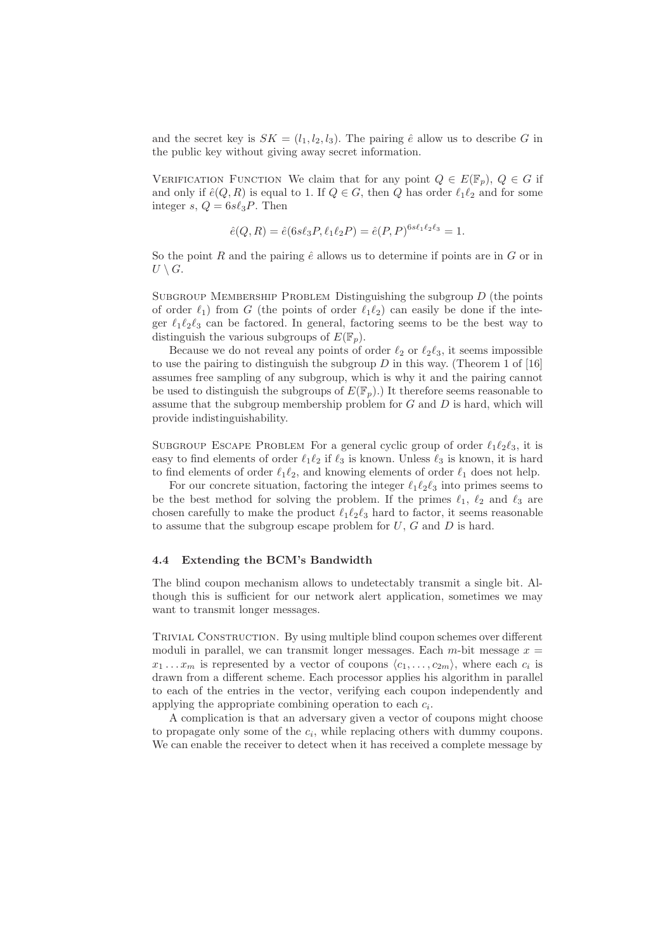and the secret key is  $SK = (l_1, l_2, l_3)$ . The pairing  $\hat{e}$  allow us to describe G in the public key without giving away secret information.

VERIFICATION FUNCTION We claim that for any point  $Q \in E(\mathbb{F}_p)$ ,  $Q \in G$  if and only if  $\hat{e}(Q, R)$  is equal to 1. If  $Q \in G$ , then Q has order  $\ell_1 \ell_2$  and for some integer s,  $Q = 6s\ell_3P$ . Then

$$
\hat{e}(Q,R) = \hat{e}(6s\ell_3 P, \ell_1 \ell_2 P) = \hat{e}(P,P)^{6s\ell_1 \ell_2 \ell_3} = 1.
$$

So the point R and the pairing  $\hat{e}$  allows us to determine if points are in G or in  $U \setminus G$ .

SUBGROUP MEMBERSHIP PROBLEM Distinguishing the subgroup  $D$  (the points of order  $\ell_1$ ) from G (the points of order  $\ell_1\ell_2$ ) can easily be done if the integer  $\ell_1\ell_2\ell_3$  can be factored. In general, factoring seems to be the best way to distinguish the various subgroups of  $E(\mathbb{F}_p)$ .

Because we do not reveal any points of order  $\ell_2$  or  $\ell_2\ell_3$ , it seems impossible to use the pairing to distinguish the subgroup  $D$  in this way. (Theorem 1 of [16] assumes free sampling of any subgroup, which is why it and the pairing cannot be used to distinguish the subgroups of  $E(\mathbb{F}_p)$ .) It therefore seems reasonable to assume that the subgroup membership problem for  $G$  and  $D$  is hard, which will provide indistinguishability.

SUBGROUP ESCAPE PROBLEM For a general cyclic group of order  $\ell_1 \ell_2 \ell_3$ , it is easy to find elements of order  $\ell_1 \ell_2$  if  $\ell_3$  is known. Unless  $\ell_3$  is known, it is hard to find elements of order  $\ell_1 \ell_2$ , and knowing elements of order  $\ell_1$  does not help.

For our concrete situation, factoring the integer  $\ell_1 \ell_2 \ell_3$  into primes seems to be the best method for solving the problem. If the primes  $\ell_1$ ,  $\ell_2$  and  $\ell_3$  are chosen carefully to make the product  $\ell_1 \ell_2 \ell_3$  hard to factor, it seems reasonable to assume that the subgroup escape problem for  $U$ ,  $G$  and  $D$  is hard.

#### 4.4 Extending the BCM's Bandwidth

The blind coupon mechanism allows to undetectably transmit a single bit. Although this is sufficient for our network alert application, sometimes we may want to transmit longer messages.

Trivial Construction. By using multiple blind coupon schemes over different moduli in parallel, we can transmit longer messages. Each  $m$ -bit message  $x =$  $x_1 \ldots x_m$  is represented by a vector of coupons  $\langle c_1, \ldots, c_{2m} \rangle$ , where each  $c_i$  is drawn from a different scheme. Each processor applies his algorithm in parallel to each of the entries in the vector, verifying each coupon independently and applying the appropriate combining operation to each  $c_i$ .

A complication is that an adversary given a vector of coupons might choose to propagate only some of the  $c_i$ , while replacing others with dummy coupons. We can enable the receiver to detect when it has received a complete message by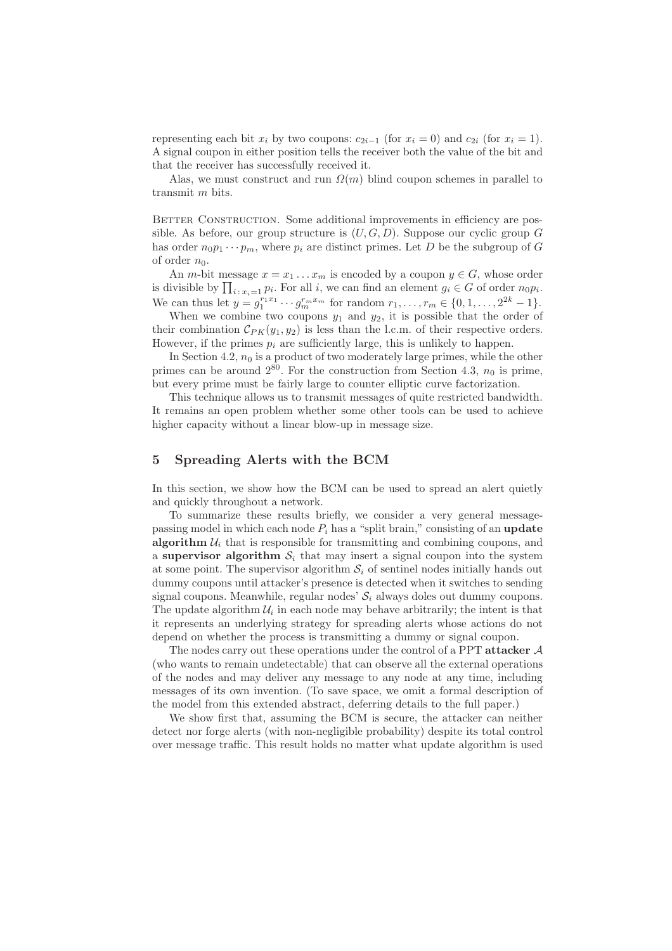representing each bit  $x_i$  by two coupons:  $c_{2i-1}$  (for  $x_i = 0$ ) and  $c_{2i}$  (for  $x_i = 1$ ). A signal coupon in either position tells the receiver both the value of the bit and that the receiver has successfully received it.

Alas, we must construct and run  $\Omega(m)$  blind coupon schemes in parallel to transmit m bits.

BETTER CONSTRUCTION. Some additional improvements in efficiency are possible. As before, our group structure is  $(U, G, D)$ . Suppose our cyclic group G has order  $n_0p_1\cdots p_m$ , where  $p_i$  are distinct primes. Let D be the subgroup of G of order  $n_0$ .

An *m*-bit message  $x = x_1 \dots x_m$  is encoded by a coupon  $y \in G$ , whose order is divisible by  $\prod_{i \colon x_i=1} p_i$ . For all i, we can find an element  $g_i \in G$  of order  $n_0p_i$ . We can thus let  $y = g_1^{r_1 x_1} \cdots g_m^{r_m x_m}$  for random  $r_1, \ldots, r_m \in \{0, 1, \ldots, 2^{2k} - 1\}.$ 

When we combine two coupons  $y_1$  and  $y_2$ , it is possible that the order of their combination  $C_{PK}(y_1, y_2)$  is less than the l.c.m. of their respective orders. However, if the primes  $p_i$  are sufficiently large, this is unlikely to happen.

In Section 4.2,  $n_0$  is a product of two moderately large primes, while the other primes can be around  $2^{80}$ . For the construction from Section 4.3,  $n_0$  is prime, but every prime must be fairly large to counter elliptic curve factorization.

This technique allows us to transmit messages of quite restricted bandwidth. It remains an open problem whether some other tools can be used to achieve higher capacity without a linear blow-up in message size.

# 5 Spreading Alerts with the BCM

In this section, we show how the BCM can be used to spread an alert quietly and quickly throughout a network.

To summarize these results briefly, we consider a very general messagepassing model in which each node  $P_i$  has a "split brain," consisting of an **update** algorithm  $\mathcal{U}_i$  that is responsible for transmitting and combining coupons, and a supervisor algorithm  $S_i$  that may insert a signal coupon into the system at some point. The supervisor algorithm  $S_i$  of sentinel nodes initially hands out dummy coupons until attacker's presence is detected when it switches to sending signal coupons. Meanwhile, regular nodes'  $S_i$  always doles out dummy coupons. The update algorithm  $\mathcal{U}_i$  in each node may behave arbitrarily; the intent is that it represents an underlying strategy for spreading alerts whose actions do not depend on whether the process is transmitting a dummy or signal coupon.

The nodes carry out these operations under the control of a PPT attacker  $A$ (who wants to remain undetectable) that can observe all the external operations of the nodes and may deliver any message to any node at any time, including messages of its own invention. (To save space, we omit a formal description of the model from this extended abstract, deferring details to the full paper.)

We show first that, assuming the BCM is secure, the attacker can neither detect nor forge alerts (with non-negligible probability) despite its total control over message traffic. This result holds no matter what update algorithm is used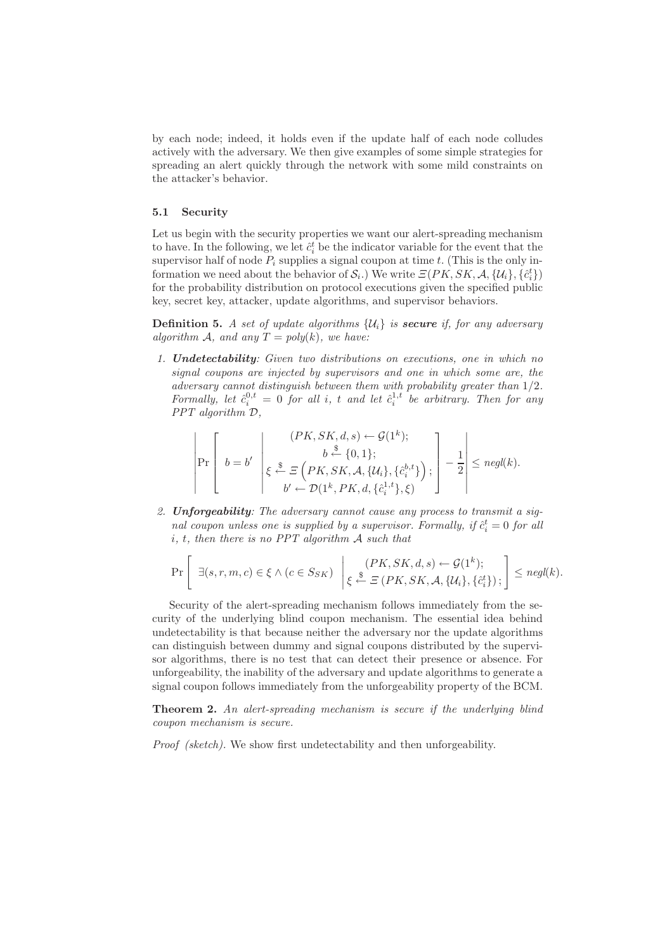by each node; indeed, it holds even if the update half of each node colludes actively with the adversary. We then give examples of some simple strategies for spreading an alert quickly through the network with some mild constraints on the attacker's behavior.

#### 5.1 Security

Let us begin with the security properties we want our alert-spreading mechanism to have. In the following, we let  $\hat{c}_i^t$  be the indicator variable for the event that the supervisor half of node  $P_i$  supplies a signal coupon at time t. (This is the only information we need about the behavior of  $S_i$ .) We write  $\mathcal{E}(PK, SK, \mathcal{A}, \{\mathcal{U}_i\}, \{\hat{c}_i^t\})$ for the probability distribution on protocol executions given the specified public key, secret key, attacker, update algorithms, and supervisor behaviors.

**Definition 5.** A set of update algorithms  $\{\mathcal{U}_i\}$  is **secure** if, for any adversary algorithm A, and any  $T = poly(k)$ , we have:

1. Undetectability: Given two distributions on executions, one in which no signal coupons are injected by supervisors and one in which some are, the adversary cannot distinguish between them with probability greater than  $1/2$ . Formally, let  $\hat{c}_i^{0,t} = 0$  for all i, t and let  $\hat{c}_i^{1,t}$  be arbitrary. Then for any PPT algorithm D,

$$
\left|\Pr\left[b = b' \middle| \begin{matrix} (PK, SK, d, s) \leftarrow \mathcal{G}(1^k); \\ b \stackrel{\$}{\leftarrow} \{0, 1\}; \\ \xi \stackrel{\$}{\leftarrow} \Xi\left(PK, SK, \mathcal{A}, \{\mathcal{U}_i\}, \{\hat{c}_i^{b, t}\}\right); \\ b' \leftarrow \mathcal{D}(1^k, PK, d, \{\hat{c}_i^{1, t}\}, \xi)\end{matrix}\right\}\right| - \frac{1}{2}\right| \leq negl(k).
$$

2. Unforgeability: The adversary cannot cause any process to transmit a signal coupon unless one is supplied by a supervisor. Formally, if  $\hat{c}_i^t = 0$  for all  $i, t$ , then there is no PPT algorithm  $A$  such that

$$
\Pr\left[\begin{array}{c} \exists (s,r,m,c) \in \xi \land (c \in S_{SK}) \end{array} \middle| \begin{array}{c} (PK, SK, d, s) \leftarrow \mathcal{G}(1^k); \\ \xi \stackrel{\$}{\leftarrow} \Xi\left(PK, SK, \mathcal{A}, \{\mathcal{U}_i\}, \{\hat{c}_i^t\}\right); \end{array} \right] \leq negl(k).
$$

Security of the alert-spreading mechanism follows immediately from the security of the underlying blind coupon mechanism. The essential idea behind undetectability is that because neither the adversary nor the update algorithms can distinguish between dummy and signal coupons distributed by the supervisor algorithms, there is no test that can detect their presence or absence. For unforgeability, the inability of the adversary and update algorithms to generate a signal coupon follows immediately from the unforgeability property of the BCM.

Theorem 2. An alert-spreading mechanism is secure if the underlying blind coupon mechanism is secure.

Proof (sketch). We show first undetectability and then unforgeability.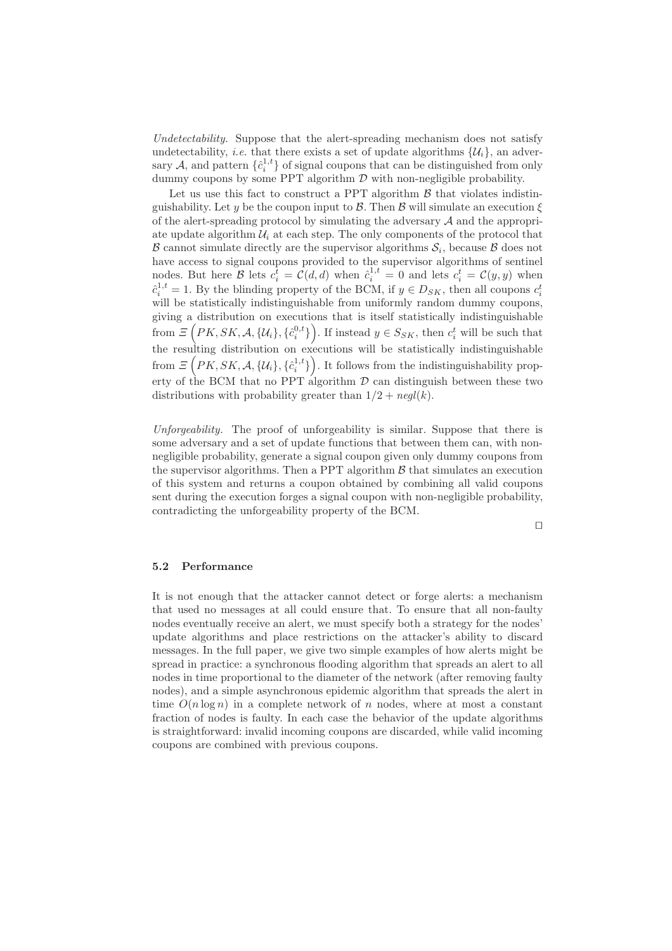Undetectability. Suppose that the alert-spreading mechanism does not satisfy undetectability, *i.e.* that there exists a set of update algorithms  $\{\mathcal{U}_i\}$ , an adversary A, and pattern  $\{\hat{c}_i^{1,t}\}$  of signal coupons that can be distinguished from only dummy coupons by some PPT algorithm  $D$  with non-negligible probability.

Let us use this fact to construct a PPT algorithm  $\beta$  that violates indistinguishability. Let y be the coupon input to  $\beta$ . Then  $\beta$  will simulate an execution  $\xi$ of the alert-spreading protocol by simulating the adversary  $A$  and the appropriate update algorithm  $\mathcal{U}_i$  at each step. The only components of the protocol that  $\mathcal B$  cannot simulate directly are the supervisor algorithms  $\mathcal S_i$ , because  $\mathcal B$  does not have access to signal coupons provided to the supervisor algorithms of sentinel nodes. But here  $\mathcal{B}$  lets  $c_i^{\overline{t}} = \mathcal{C}(d,d)$  when  $\hat{c}_i^{1,t} = 0$  and lets  $c_i^t = \mathcal{C}(y, y)$  when  $\hat{c}_i^{1,t} = 1$ . By the blinding property of the BCM, if  $y \in D_{SK}$ , then all coupons  $c_i^t$ will be statistically indistinguishable from uniformly random dummy coupons, giving a distribution on executions that is itself statistically indistinguishable from  $\mathcal{Z}\left(PK, SK, \mathcal{A}, \{\mathcal{U}_i\}, \{\hat{c}_i^{0,t}\}\right)$ . If instead  $y \in S_{SK}$ , then  $c_i^t$  will be such that the resulting distribution on executions will be statistically indistinguishable from  $\mathcal{Z}\left(PK, SK, \mathcal{A}, \{\mathcal{U}_i\}, \{\hat{c}_i^{1,t}\}\right)$ . It follows from the indistinguishability property of the BCM that no PPT algorithm  $\mathcal D$  can distinguish between these two distributions with probability greater than  $1/2 + negl(k)$ .

Unforgeability. The proof of unforgeability is similar. Suppose that there is some adversary and a set of update functions that between them can, with nonnegligible probability, generate a signal coupon given only dummy coupons from the supervisor algorithms. Then a PPT algorithm  $\beta$  that simulates an execution of this system and returns a coupon obtained by combining all valid coupons sent during the execution forges a signal coupon with non-negligible probability, contradicting the unforgeability property of the BCM.

⊓⊔

#### 5.2 Performance

It is not enough that the attacker cannot detect or forge alerts: a mechanism that used no messages at all could ensure that. To ensure that all non-faulty nodes eventually receive an alert, we must specify both a strategy for the nodes' update algorithms and place restrictions on the attacker's ability to discard messages. In the full paper, we give two simple examples of how alerts might be spread in practice: a synchronous flooding algorithm that spreads an alert to all nodes in time proportional to the diameter of the network (after removing faulty nodes), and a simple asynchronous epidemic algorithm that spreads the alert in time  $O(n \log n)$  in a complete network of n nodes, where at most a constant fraction of nodes is faulty. In each case the behavior of the update algorithms is straightforward: invalid incoming coupons are discarded, while valid incoming coupons are combined with previous coupons.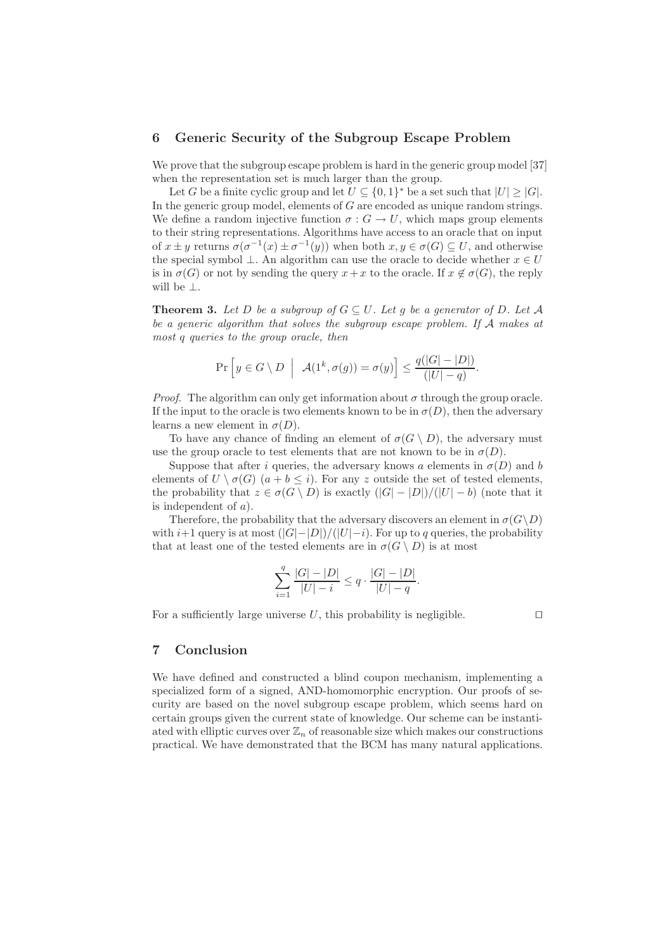## 6 Generic Security of the Subgroup Escape Problem

We prove that the subgroup escape problem is hard in the generic group model [37] when the representation set is much larger than the group.

Let G be a finite cyclic group and let  $\mathcal{U} \subseteq \{0,1\}^*$  be a set such that  $|U| \geq |G|$ . In the generic group model, elements of  $G$  are encoded as unique random strings. We define a random injective function  $\sigma : G \to U$ , which maps group elements to their string representations. Algorithms have access to an oracle that on input of  $x \pm y$  returns  $\sigma(\sigma^{-1}(x) \pm \sigma^{-1}(y))$  when both  $x, y \in \sigma(G) \subseteq U$ , and otherwise the special symbol  $\perp$ . An algorithm can use the oracle to decide whether  $x \in U$ is in  $\sigma(G)$  or not by sending the query  $x+x$  to the oracle. If  $x \notin \sigma(G)$ , the reply will be ⊥.

**Theorem 3.** Let D be a subgroup of  $G \subseteq U$ . Let g be a generator of D. Let A be a generic algorithm that solves the subgroup escape problem. If A makes at most q queries to the group oracle, then

$$
\Pr\left[y \in G \setminus D \middle| \mathcal{A}(1^k, \sigma(g)) = \sigma(y)\right] \le \frac{q(|G| - |D|)}{(|U| - q)}.
$$

*Proof.* The algorithm can only get information about  $\sigma$  through the group oracle. If the input to the oracle is two elements known to be in  $\sigma(D)$ , then the adversary learns a new element in  $\sigma(D)$ .

To have any chance of finding an element of  $\sigma(G \setminus D)$ , the adversary must use the group oracle to test elements that are not known to be in  $\sigma(D)$ .

Suppose that after i queries, the adversary knows a elements in  $\sigma(D)$  and b elements of  $U \setminus \sigma(G)$   $(a + b \leq i)$ . For any z outside the set of tested elements, the probability that  $z \in \sigma(G \setminus D)$  is exactly  $(|G| - |D|)/(|U| - b)$  (note that it is independent of  $a$ ).

Therefore, the probability that the adversary discovers an element in  $\sigma(G\setminus D)$ with  $i+1$  query is at most  $(|G|-|D|)/(|U|-i)$ . For up to q queries, the probability that at least one of the tested elements are in  $\sigma(G \setminus D)$  is at most

$$
\sum_{i=1}^{q} \frac{|G| - |D|}{|U| - i} \le q \cdot \frac{|G| - |D|}{|U| - q}.
$$

For a sufficiently large universe U, this probability is negligible.  $□$ 

## 7 Conclusion

We have defined and constructed a blind coupon mechanism, implementing a specialized form of a signed, AND-homomorphic encryption. Our proofs of security are based on the novel subgroup escape problem, which seems hard on certain groups given the current state of knowledge. Our scheme can be instantiated with elliptic curves over  $\mathbb{Z}_n$  of reasonable size which makes our constructions practical. We have demonstrated that the BCM has many natural applications.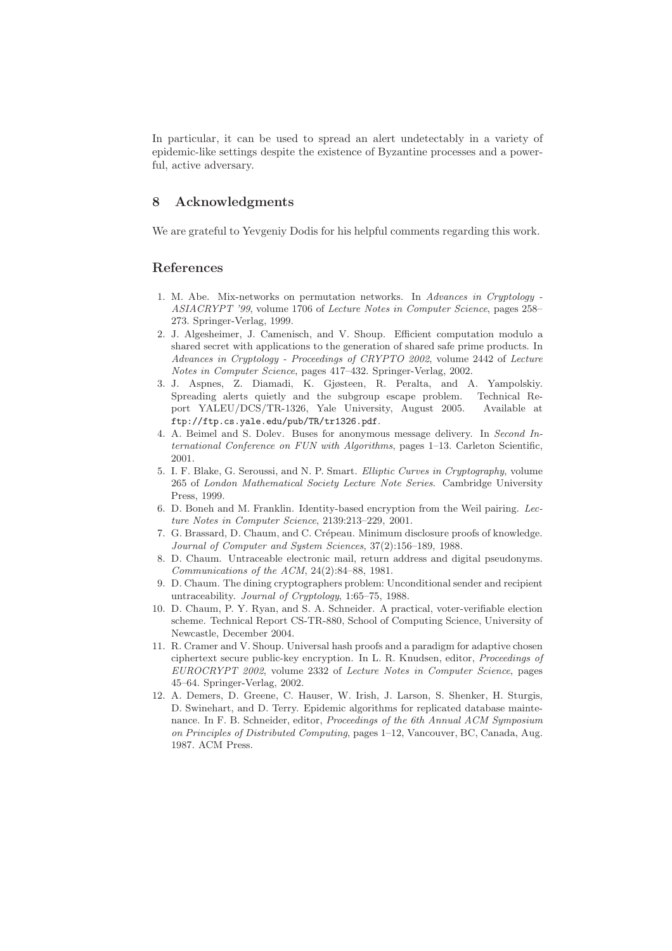In particular, it can be used to spread an alert undetectably in a variety of epidemic-like settings despite the existence of Byzantine processes and a powerful, active adversary.

# 8 Acknowledgments

We are grateful to Yevgeniy Dodis for his helpful comments regarding this work.

## References

- 1. M. Abe. Mix-networks on permutation networks. In Advances in Cryptology ASIACRYPT '99, volume 1706 of Lecture Notes in Computer Science, pages 258– 273. Springer-Verlag, 1999.
- 2. J. Algesheimer, J. Camenisch, and V. Shoup. Efficient computation modulo a shared secret with applications to the generation of shared safe prime products. In Advances in Cryptology - Proceedings of CRYPTO 2002, volume 2442 of Lecture Notes in Computer Science, pages 417–432. Springer-Verlag, 2002.
- 3. J. Aspnes, Z. Diamadi, K. Gjøsteen, R. Peralta, and A. Yampolskiy. Spreading alerts quietly and the subgroup escape problem. Technical Report YALEU/DCS/TR-1326, Yale University, August 2005. Available at ftp://ftp.cs.yale.edu/pub/TR/tr1326.pdf.
- 4. A. Beimel and S. Dolev. Buses for anonymous message delivery. In Second International Conference on FUN with Algorithms, pages 1–13. Carleton Scientific, 2001.
- 5. I. F. Blake, G. Seroussi, and N. P. Smart. Elliptic Curves in Cryptography, volume 265 of London Mathematical Society Lecture Note Series. Cambridge University Press, 1999.
- 6. D. Boneh and M. Franklin. Identity-based encryption from the Weil pairing. Lecture Notes in Computer Science, 2139:213–229, 2001.
- 7. G. Brassard, D. Chaum, and C. Crépeau. Minimum disclosure proofs of knowledge. Journal of Computer and System Sciences, 37(2):156–189, 1988.
- 8. D. Chaum. Untraceable electronic mail, return address and digital pseudonyms. Communications of the ACM, 24(2):84–88, 1981.
- 9. D. Chaum. The dining cryptographers problem: Unconditional sender and recipient untraceability. Journal of Cryptology, 1:65–75, 1988.
- 10. D. Chaum, P. Y. Ryan, and S. A. Schneider. A practical, voter-verifiable election scheme. Technical Report CS-TR-880, School of Computing Science, University of Newcastle, December 2004.
- 11. R. Cramer and V. Shoup. Universal hash proofs and a paradigm for adaptive chosen ciphertext secure public-key encryption. In L. R. Knudsen, editor, Proceedings of EUROCRYPT 2002, volume 2332 of Lecture Notes in Computer Science, pages 45–64. Springer-Verlag, 2002.
- 12. A. Demers, D. Greene, C. Hauser, W. Irish, J. Larson, S. Shenker, H. Sturgis, D. Swinehart, and D. Terry. Epidemic algorithms for replicated database maintenance. In F. B. Schneider, editor, Proceedings of the 6th Annual ACM Symposium on Principles of Distributed Computing, pages 1–12, Vancouver, BC, Canada, Aug. 1987. ACM Press.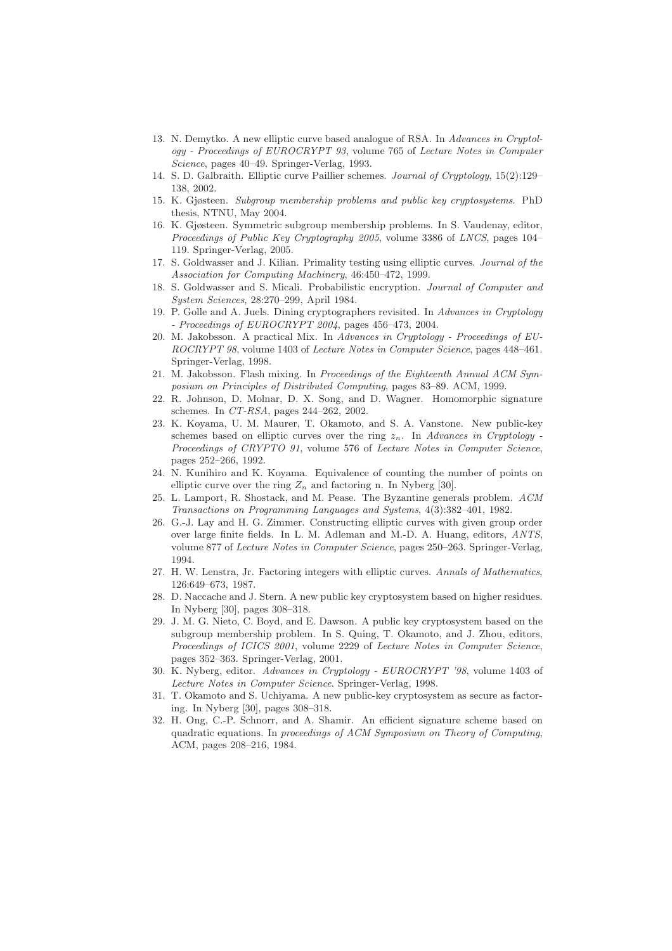- 13. N. Demytko. A new elliptic curve based analogue of RSA. In Advances in Cryptology - Proceedings of EUROCRYPT 93, volume 765 of Lecture Notes in Computer Science, pages 40–49. Springer-Verlag, 1993.
- 14. S. D. Galbraith. Elliptic curve Paillier schemes. Journal of Cryptology, 15(2):129– 138, 2002.
- 15. K. Gjøsteen. Subgroup membership problems and public key cryptosystems. PhD thesis, NTNU, May 2004.
- 16. K. Gjøsteen. Symmetric subgroup membership problems. In S. Vaudenay, editor, Proceedings of Public Key Cryptography 2005, volume 3386 of LNCS, pages 104– 119. Springer-Verlag, 2005.
- 17. S. Goldwasser and J. Kilian. Primality testing using elliptic curves. Journal of the Association for Computing Machinery, 46:450–472, 1999.
- 18. S. Goldwasser and S. Micali. Probabilistic encryption. Journal of Computer and System Sciences, 28:270–299, April 1984.
- 19. P. Golle and A. Juels. Dining cryptographers revisited. In Advances in Cryptology - Proceedings of  $EUROCRYPT 2004$ , pages 456-473, 2004.
- 20. M. Jakobsson. A practical Mix. In Advances in Cryptology Proceedings of EU-ROCRYPT 98, volume 1403 of Lecture Notes in Computer Science, pages 448–461. Springer-Verlag, 1998.
- 21. M. Jakobsson. Flash mixing. In Proceedings of the Eighteenth Annual ACM Symposium on Principles of Distributed Computing, pages 83–89. ACM, 1999.
- 22. R. Johnson, D. Molnar, D. X. Song, and D. Wagner. Homomorphic signature schemes. In CT-RSA, pages 244–262, 2002.
- 23. K. Koyama, U. M. Maurer, T. Okamoto, and S. A. Vanstone. New public-key schemes based on elliptic curves over the ring  $z_n$ . In Advances in Cryptology -Proceedings of CRYPTO 91, volume 576 of Lecture Notes in Computer Science, pages 252–266, 1992.
- 24. N. Kunihiro and K. Koyama. Equivalence of counting the number of points on elliptic curve over the ring  $Z_n$  and factoring n. In Nyberg [30].
- 25. L. Lamport, R. Shostack, and M. Pease. The Byzantine generals problem. ACM Transactions on Programming Languages and Systems, 4(3):382–401, 1982.
- 26. G.-J. Lay and H. G. Zimmer. Constructing elliptic curves with given group order over large finite fields. In L. M. Adleman and M.-D. A. Huang, editors, ANTS, volume 877 of Lecture Notes in Computer Science, pages 250–263. Springer-Verlag, 1994.
- 27. H. W. Lenstra, Jr. Factoring integers with elliptic curves. Annals of Mathematics, 126:649–673, 1987.
- 28. D. Naccache and J. Stern. A new public key cryptosystem based on higher residues. In Nyberg [30], pages 308–318.
- 29. J. M. G. Nieto, C. Boyd, and E. Dawson. A public key cryptosystem based on the subgroup membership problem. In S. Quing, T. Okamoto, and J. Zhou, editors, Proceedings of ICICS 2001, volume 2229 of Lecture Notes in Computer Science, pages 352–363. Springer-Verlag, 2001.
- 30. K. Nyberg, editor. Advances in Cryptology EUROCRYPT '98, volume 1403 of Lecture Notes in Computer Science. Springer-Verlag, 1998.
- 31. T. Okamoto and S. Uchiyama. A new public-key cryptosystem as secure as factoring. In Nyberg [30], pages 308–318.
- 32. H. Ong, C.-P. Schnorr, and A. Shamir. An efficient signature scheme based on quadratic equations. In proceedings of ACM Symposium on Theory of Computing, ACM, pages 208–216, 1984.